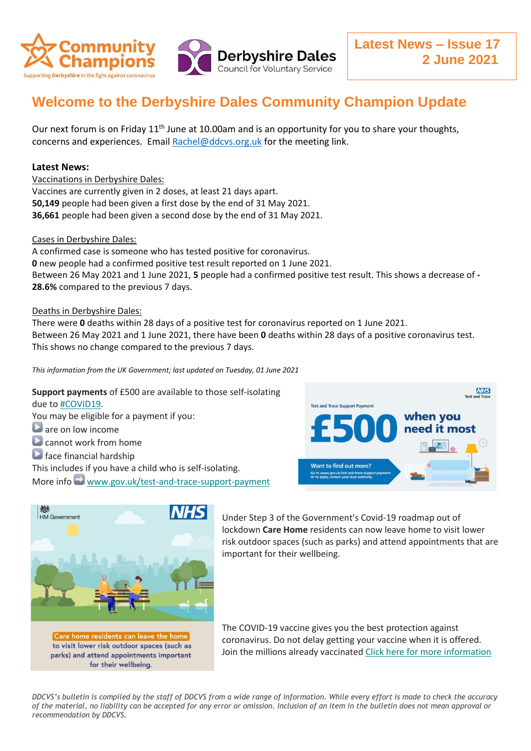

# **Welcome to the Derbyshire Dales Community Champion Update**

Our next forum is on Friday 11<sup>th</sup> June at 10.00am and is an opportunity for you to share your thoughts, concerns and experiences. Email [Rachel@ddcvs.org.uk](mailto:Rachel@ddcvs.org.uk) for the meeting link.

# **Latest News:**

Vaccinations in Derbyshire Dales: Vaccines are currently given in 2 doses, at least 21 days apart. **50,149** people had been given a first dose by the end of 31 May 2021. **36,661** people had been given a second dose by the end of 31 May 2021.

## Cases in Derbyshire Dales:

A confirmed case is someone who has tested positive for coronavirus. **0** new people had a confirmed positive test result reported on 1 June 2021. Between 26 May 2021 and 1 June 2021, **5** people had a confirmed positive test result. This shows a decrease of **- 28.6%** compared to the previous 7 days.

#### Deaths in Derbyshire Dales:

There were **0** deaths within 28 days of a positive test for coronavirus reported on 1 June 2021. Between 26 May 2021 and 1 June 2021, there have been **0** deaths within 28 days of a positive coronavirus test. This shows no change compared to the previous 7 days.

*This information from the UK Government; last updated on Tuesday, 01 June 2021*

## **Support payments** of £500 are available to those self-isolating

due to [#COVID19.](https://www.facebook.com/hashtag/covid19?__eep__=6&__cft__%5b0%5d=AZUM7QdvD2m4SHJZuzEgPKzeZQpAORSFUJGUg_tXJAUp8T-p7sBImHQm5GlCawPU2o7MgNhUXVlpx76vsUA5FL8Nkb3hB57nG65zXTmJBI_iJvbQOdrtyvYRnVwQAnwRZfNAFkDbQEVqJjoKF3FfVavvxs2Hk142TcxbRAO8h_kICRCtIwk1TmzbjBWxI4hufa6-hj2kCbn_5ZZORyt2hnmOUu_hc4EJgQ85bCqC_izupA&__tn__=*NK-y-R)

You may be eligible for a payment if you: **L** are on low income  $\Box$  cannot work from home **face financial hardship** This includes if you have a child who is self-isolating. More info [www.gov.uk/test-and-trace-support-payment](https://www.gov.uk/test-and-trace-support-payment?fbclid=IwAR0aKLpVN-vuAEmnwsWXk2juuiYqyM5_RsTu0Xfod6_HtAQSqW2PP2_zuu8)





parks) and attend appointments important for their wellbeing.

Under Step 3 of the Government's Covid-19 roadmap out of lockdown **Care Home** residents can now leave home to visit lower risk outdoor spaces (such as parks) and attend appointments that are important for their wellbeing.

The COVID-19 vaccine gives you the best protection against coronavirus. Do not delay getting your vaccine when it is offered. Join the millions already vaccinated [Click here for more information](https://www.nhs.uk/conditions/coronavirus-covid-19/coronavirus-vaccination/coronavirus-vaccine/)

*DDCVS's bulletin is compiled by the staff of DDCVS from a wide range of information. While every effort is made to check the accuracy of the material, no liability can be accepted for any error or omission. Inclusion of an item in the bulletin does not mean approval or recommendation by DDCVS.*